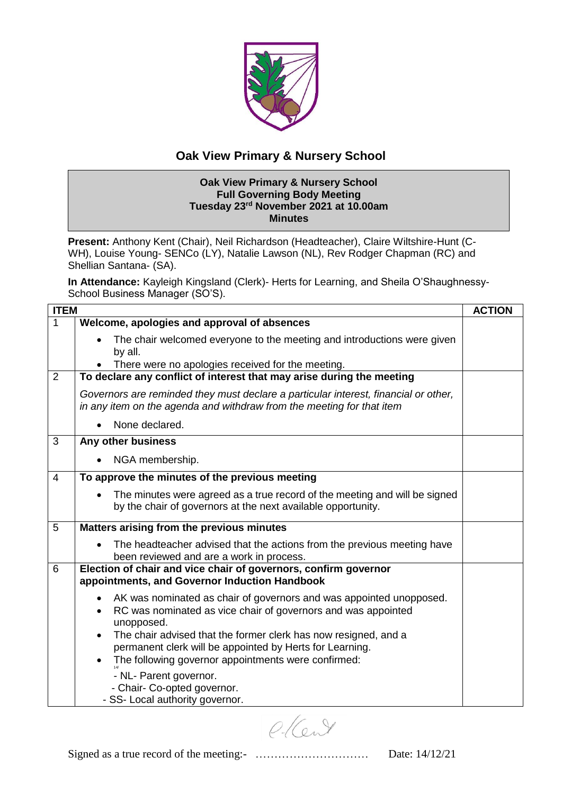

## **Oak View Primary & Nursery School**

## **Oak View Primary & Nursery School Full Governing Body Meeting Tuesday 23rd November 2021 at 10.00am Minutes**

**Present:** Anthony Kent (Chair), Neil Richardson (Headteacher), Claire Wiltshire-Hunt (C-WH), Louise Young- SENCo (LY), Natalie Lawson (NL), Rev Rodger Chapman (RC) and Shellian Santana- (SA).

**In Attendance:** Kayleigh Kingsland (Clerk)- Herts for Learning, and Sheila O'Shaughnessy-School Business Manager (SO'S).

| <b>ITEM</b> |                                                                                                                                                                                                                                                                                                                                                                    | <b>ACTION</b> |
|-------------|--------------------------------------------------------------------------------------------------------------------------------------------------------------------------------------------------------------------------------------------------------------------------------------------------------------------------------------------------------------------|---------------|
| 1           | Welcome, apologies and approval of absences                                                                                                                                                                                                                                                                                                                        |               |
|             | The chair welcomed everyone to the meeting and introductions were given<br>by all.<br>There were no apologies received for the meeting.                                                                                                                                                                                                                            |               |
| 2           | To declare any conflict of interest that may arise during the meeting                                                                                                                                                                                                                                                                                              |               |
|             | Governors are reminded they must declare a particular interest, financial or other,<br>in any item on the agenda and withdraw from the meeting for that item                                                                                                                                                                                                       |               |
|             | None declared.                                                                                                                                                                                                                                                                                                                                                     |               |
| 3           | Any other business                                                                                                                                                                                                                                                                                                                                                 |               |
|             | NGA membership.                                                                                                                                                                                                                                                                                                                                                    |               |
| 4           | To approve the minutes of the previous meeting                                                                                                                                                                                                                                                                                                                     |               |
|             | The minutes were agreed as a true record of the meeting and will be signed<br>by the chair of governors at the next available opportunity.                                                                                                                                                                                                                         |               |
| 5           | Matters arising from the previous minutes                                                                                                                                                                                                                                                                                                                          |               |
|             | The headteacher advised that the actions from the previous meeting have<br>been reviewed and are a work in process.                                                                                                                                                                                                                                                |               |
| 6           | Election of chair and vice chair of governors, confirm governor<br>appointments, and Governor Induction Handbook                                                                                                                                                                                                                                                   |               |
|             | AK was nominated as chair of governors and was appointed unopposed.<br>$\bullet$<br>RC was nominated as vice chair of governors and was appointed<br>unopposed.<br>The chair advised that the former clerk has now resigned, and a<br>permanent clerk will be appointed by Herts for Learning.<br>The following governor appointments were confirmed:<br>$\bullet$ |               |
|             | - NL- Parent governor.<br>- Chair- Co-opted governor.<br>- SS- Local authority governor.                                                                                                                                                                                                                                                                           |               |

 $O(C_1)$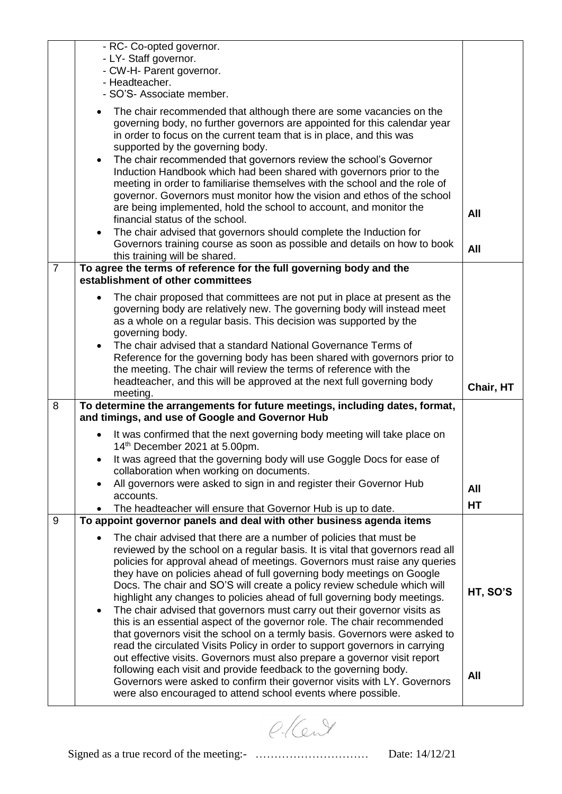|                | - RC- Co-opted governor.<br>- LY- Staff governor.<br>- CW-H- Parent governor.<br>- Headteacher.<br>- SO'S- Associate member.                                                                                                                                                                                                                                                                                                                                                   |           |
|----------------|--------------------------------------------------------------------------------------------------------------------------------------------------------------------------------------------------------------------------------------------------------------------------------------------------------------------------------------------------------------------------------------------------------------------------------------------------------------------------------|-----------|
|                | The chair recommended that although there are some vacancies on the<br>$\bullet$<br>governing body, no further governors are appointed for this calendar year<br>in order to focus on the current team that is in place, and this was<br>supported by the governing body.                                                                                                                                                                                                      |           |
|                | The chair recommended that governors review the school's Governor<br>$\bullet$<br>Induction Handbook which had been shared with governors prior to the<br>meeting in order to familiarise themselves with the school and the role of<br>governor. Governors must monitor how the vision and ethos of the school<br>are being implemented, hold the school to account, and monitor the                                                                                          | All       |
|                | financial status of the school.<br>The chair advised that governors should complete the Induction for<br>$\bullet$<br>Governors training course as soon as possible and details on how to book<br>this training will be shared.                                                                                                                                                                                                                                                | All       |
| $\overline{7}$ | To agree the terms of reference for the full governing body and the<br>establishment of other committees                                                                                                                                                                                                                                                                                                                                                                       |           |
|                | The chair proposed that committees are not put in place at present as the<br>$\bullet$<br>governing body are relatively new. The governing body will instead meet<br>as a whole on a regular basis. This decision was supported by the<br>governing body.                                                                                                                                                                                                                      |           |
|                | The chair advised that a standard National Governance Terms of<br>$\bullet$<br>Reference for the governing body has been shared with governors prior to<br>the meeting. The chair will review the terms of reference with the                                                                                                                                                                                                                                                  |           |
|                |                                                                                                                                                                                                                                                                                                                                                                                                                                                                                |           |
|                | headteacher, and this will be approved at the next full governing body<br>meeting.                                                                                                                                                                                                                                                                                                                                                                                             | Chair, HT |
| 8              | To determine the arrangements for future meetings, including dates, format,<br>and timings, and use of Google and Governor Hub                                                                                                                                                                                                                                                                                                                                                 |           |
|                | It was confirmed that the next governing body meeting will take place on<br>$\bullet$<br>14th December 2021 at 5.00pm.                                                                                                                                                                                                                                                                                                                                                         |           |
|                | It was agreed that the governing body will use Goggle Docs for ease of<br>collaboration when working on documents.                                                                                                                                                                                                                                                                                                                                                             |           |
|                | All governors were asked to sign in and register their Governor Hub                                                                                                                                                                                                                                                                                                                                                                                                            | All       |
|                | accounts.<br>The headteacher will ensure that Governor Hub is up to date.                                                                                                                                                                                                                                                                                                                                                                                                      | HT        |
| 9              | To appoint governor panels and deal with other business agenda items                                                                                                                                                                                                                                                                                                                                                                                                           |           |
|                | The chair advised that there are a number of policies that must be<br>reviewed by the school on a regular basis. It is vital that governors read all<br>policies for approval ahead of meetings. Governors must raise any queries<br>they have on policies ahead of full governing body meetings on Google<br>Docs. The chair and SO'S will create a policy review schedule which will<br>highlight any changes to policies ahead of full governing body meetings.             | HT, SO'S  |
|                | The chair advised that governors must carry out their governor visits as<br>$\bullet$<br>this is an essential aspect of the governor role. The chair recommended<br>that governors visit the school on a termly basis. Governors were asked to<br>read the circulated Visits Policy in order to support governors in carrying<br>out effective visits. Governors must also prepare a governor visit report<br>following each visit and provide feedback to the governing body. | All       |

e-Kent

Signed as a true record of the meeting:- ………………………… Date: 14/12/21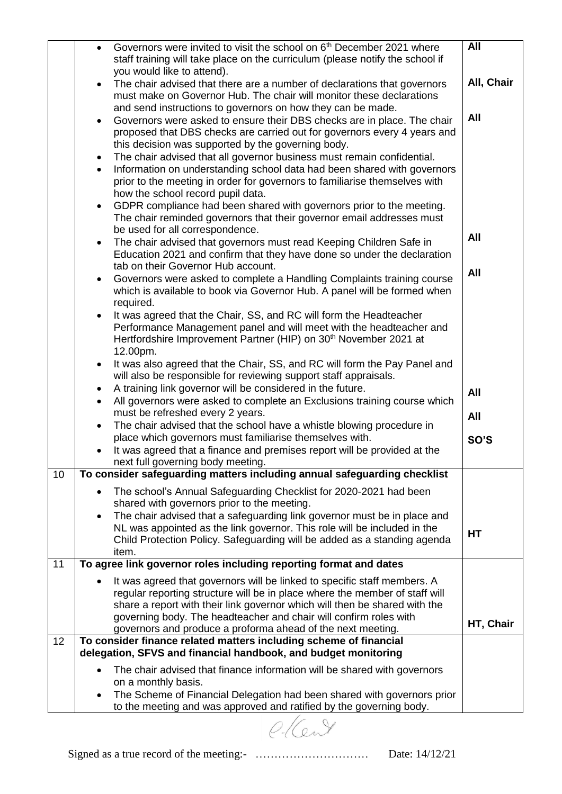|    | $\bullet$ | Governors were invited to visit the school on 6 <sup>th</sup> December 2021 where                                                                    | All        |
|----|-----------|------------------------------------------------------------------------------------------------------------------------------------------------------|------------|
|    |           | staff training will take place on the curriculum (please notify the school if                                                                        |            |
|    |           | you would like to attend).                                                                                                                           |            |
|    | $\bullet$ | The chair advised that there are a number of declarations that governors                                                                             | All, Chair |
|    |           | must make on Governor Hub. The chair will monitor these declarations                                                                                 |            |
|    |           | and send instructions to governors on how they can be made.                                                                                          | All        |
|    | $\bullet$ | Governors were asked to ensure their DBS checks are in place. The chair<br>proposed that DBS checks are carried out for governors every 4 years and  |            |
|    |           | this decision was supported by the governing body.                                                                                                   |            |
|    | $\bullet$ | The chair advised that all governor business must remain confidential.                                                                               |            |
|    | $\bullet$ | Information on understanding school data had been shared with governors                                                                              |            |
|    |           | prior to the meeting in order for governors to familiarise themselves with                                                                           |            |
|    |           | how the school record pupil data.                                                                                                                    |            |
|    | $\bullet$ | GDPR compliance had been shared with governors prior to the meeting.                                                                                 |            |
|    |           | The chair reminded governors that their governor email addresses must                                                                                |            |
|    |           | be used for all correspondence.                                                                                                                      | <b>All</b> |
|    | $\bullet$ | The chair advised that governors must read Keeping Children Safe in                                                                                  |            |
|    |           | Education 2021 and confirm that they have done so under the declaration<br>tab on their Governor Hub account.                                        |            |
|    | $\bullet$ | Governors were asked to complete a Handling Complaints training course                                                                               | All        |
|    |           | which is available to book via Governor Hub. A panel will be formed when                                                                             |            |
|    |           | required.                                                                                                                                            |            |
|    | $\bullet$ | It was agreed that the Chair, SS, and RC will form the Headteacher                                                                                   |            |
|    |           | Performance Management panel and will meet with the headteacher and                                                                                  |            |
|    |           | Hertfordshire Improvement Partner (HIP) on 30 <sup>th</sup> November 2021 at                                                                         |            |
|    |           | 12.00pm.                                                                                                                                             |            |
|    | $\bullet$ | It was also agreed that the Chair, SS, and RC will form the Pay Panel and                                                                            |            |
|    | $\bullet$ | will also be responsible for reviewing support staff appraisals.<br>A training link governor will be considered in the future.                       |            |
|    | $\bullet$ | All governors were asked to complete an Exclusions training course which                                                                             | All        |
|    |           | must be refreshed every 2 years.                                                                                                                     | All        |
|    | $\bullet$ | The chair advised that the school have a whistle blowing procedure in                                                                                |            |
|    |           | place which governors must familiarise themselves with.                                                                                              | SO'S       |
|    | $\bullet$ | It was agreed that a finance and premises report will be provided at the                                                                             |            |
|    |           | next full governing body meeting.                                                                                                                    |            |
| 10 |           | To consider safeguarding matters including annual safeguarding checklist                                                                             |            |
|    | $\bullet$ | The school's Annual Safeguarding Checklist for 2020-2021 had been                                                                                    |            |
|    |           | shared with governors prior to the meeting.                                                                                                          |            |
|    | $\bullet$ | The chair advised that a safeguarding link governor must be in place and<br>NL was appointed as the link governor. This role will be included in the |            |
|    |           | Child Protection Policy. Safeguarding will be added as a standing agenda                                                                             | HT         |
|    |           | item.                                                                                                                                                |            |
| 11 |           | To agree link governor roles including reporting format and dates                                                                                    |            |
|    |           | It was agreed that governors will be linked to specific staff members. A                                                                             |            |
|    |           | regular reporting structure will be in place where the member of staff will                                                                          |            |
|    |           | share a report with their link governor which will then be shared with the                                                                           |            |
|    |           | governing body. The headteacher and chair will confirm roles with                                                                                    | HT, Chair  |
| 12 |           | governors and produce a proforma ahead of the next meeting.                                                                                          |            |
|    |           | To consider finance related matters including scheme of financial<br>delegation, SFVS and financial handbook, and budget monitoring                  |            |
|    | $\bullet$ | The chair advised that finance information will be shared with governors                                                                             |            |
|    |           | on a monthly basis.                                                                                                                                  |            |
|    |           | The Scheme of Financial Delegation had been shared with governors prior                                                                              |            |
|    |           | to the meeting and was approved and ratified by the governing body.                                                                                  |            |

ellent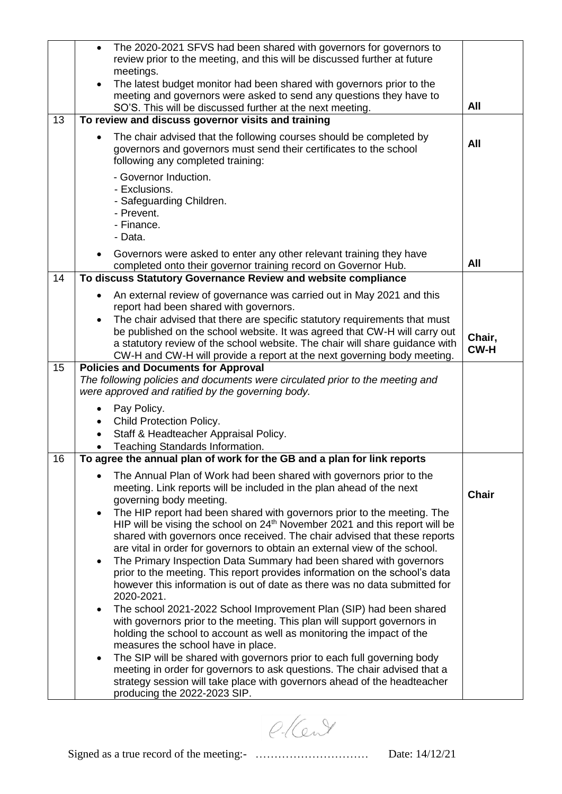|    | The 2020-2021 SFVS had been shared with governors for governors to<br>$\bullet$                                                                                                |              |
|----|--------------------------------------------------------------------------------------------------------------------------------------------------------------------------------|--------------|
|    | review prior to the meeting, and this will be discussed further at future<br>meetings.                                                                                         |              |
|    | The latest budget monitor had been shared with governors prior to the<br>$\bullet$                                                                                             |              |
|    | meeting and governors were asked to send any questions they have to                                                                                                            |              |
|    | SO'S. This will be discussed further at the next meeting.                                                                                                                      | All          |
| 13 | To review and discuss governor visits and training                                                                                                                             |              |
|    | The chair advised that the following courses should be completed by<br>governors and governors must send their certificates to the school<br>following any completed training: | All          |
|    | - Governor Induction.<br>- Exclusions.<br>- Safeguarding Children.<br>- Prevent.<br>- Finance.<br>- Data.                                                                      |              |
|    | Governors were asked to enter any other relevant training they have<br>$\bullet$<br>completed onto their governor training record on Governor Hub.                             | All          |
| 14 | To discuss Statutory Governance Review and website compliance                                                                                                                  |              |
|    | An external review of governance was carried out in May 2021 and this<br>report had been shared with governors.                                                                |              |
|    | The chair advised that there are specific statutory requirements that must<br>$\bullet$                                                                                        |              |
|    | be published on the school website. It was agreed that CW-H will carry out<br>a statutory review of the school website. The chair will share guidance with                     | Chair,       |
|    | CW-H and CW-H will provide a report at the next governing body meeting.                                                                                                        | <b>CW-H</b>  |
| 15 | <b>Policies and Documents for Approval</b>                                                                                                                                     |              |
|    | The following policies and documents were circulated prior to the meeting and<br>were approved and ratified by the governing body.                                             |              |
|    | Pay Policy.<br>$\bullet$                                                                                                                                                       |              |
|    | Child Protection Policy.                                                                                                                                                       |              |
|    | Staff & Headteacher Appraisal Policy.                                                                                                                                          |              |
| 16 | Teaching Standards Information.<br>To agree the annual plan of work for the GB and a plan for link reports                                                                     |              |
|    |                                                                                                                                                                                |              |
|    | The Annual Plan of Work had been shared with governors prior to the<br>meeting. Link reports will be included in the plan ahead of the next<br>governing body meeting.         | <b>Chair</b> |
|    | The HIP report had been shared with governors prior to the meeting. The<br>$\bullet$                                                                                           |              |
|    | HIP will be vising the school on $24th$ November 2021 and this report will be                                                                                                  |              |
|    | shared with governors once received. The chair advised that these reports                                                                                                      |              |
|    | are vital in order for governors to obtain an external view of the school.<br>The Primary Inspection Data Summary had been shared with governors<br>$\bullet$                  |              |
|    | prior to the meeting. This report provides information on the school's data                                                                                                    |              |
|    | however this information is out of date as there was no data submitted for<br>2020-2021.                                                                                       |              |
|    | The school 2021-2022 School Improvement Plan (SIP) had been shared<br>$\bullet$                                                                                                |              |
|    | with governors prior to the meeting. This plan will support governors in                                                                                                       |              |
|    | holding the school to account as well as monitoring the impact of the<br>measures the school have in place.                                                                    |              |
|    | The SIP will be shared with governors prior to each full governing body<br>$\bullet$                                                                                           |              |
|    | meeting in order for governors to ask questions. The chair advised that a                                                                                                      |              |
|    | strategy session will take place with governors ahead of the headteacher                                                                                                       |              |
|    | producing the 2022-2023 SIP.                                                                                                                                                   |              |

e-Kent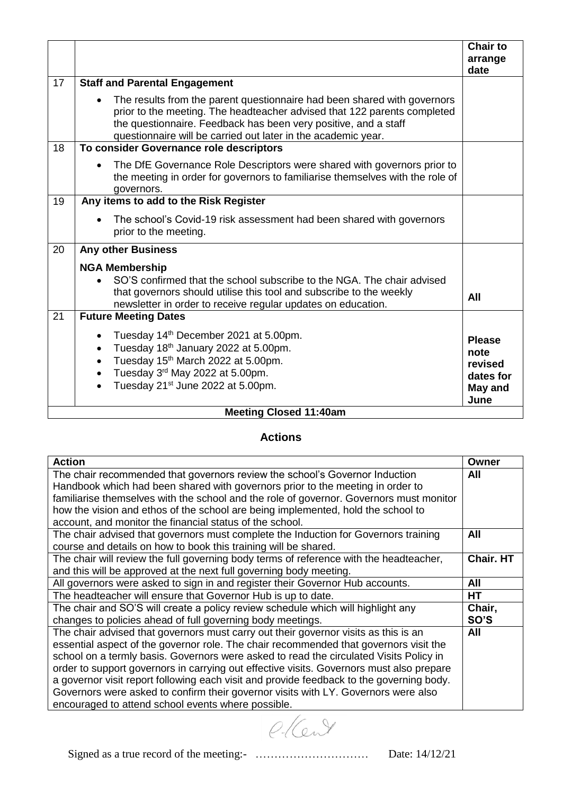|    |                                                                                                                                                                                                                                                                                          | <b>Chair to</b><br>arrange                                       |  |
|----|------------------------------------------------------------------------------------------------------------------------------------------------------------------------------------------------------------------------------------------------------------------------------------------|------------------------------------------------------------------|--|
| 17 | <b>Staff and Parental Engagement</b>                                                                                                                                                                                                                                                     | date                                                             |  |
|    |                                                                                                                                                                                                                                                                                          |                                                                  |  |
|    | The results from the parent questionnaire had been shared with governors<br>prior to the meeting. The headteacher advised that 122 parents completed<br>the questionnaire. Feedback has been very positive, and a staff<br>questionnaire will be carried out later in the academic year. |                                                                  |  |
| 18 | To consider Governance role descriptors                                                                                                                                                                                                                                                  |                                                                  |  |
|    | The DfE Governance Role Descriptors were shared with governors prior to<br>the meeting in order for governors to familiarise themselves with the role of<br>governors.                                                                                                                   |                                                                  |  |
| 19 | Any items to add to the Risk Register                                                                                                                                                                                                                                                    |                                                                  |  |
|    | The school's Covid-19 risk assessment had been shared with governors<br>prior to the meeting.                                                                                                                                                                                            |                                                                  |  |
| 20 | <b>Any other Business</b>                                                                                                                                                                                                                                                                |                                                                  |  |
|    | <b>NGA Membership</b>                                                                                                                                                                                                                                                                    |                                                                  |  |
|    | SO'S confirmed that the school subscribe to the NGA. The chair advised<br>$\bullet$<br>that governors should utilise this tool and subscribe to the weekly<br>newsletter in order to receive regular updates on education.                                                               | All                                                              |  |
| 21 | <b>Future Meeting Dates</b>                                                                                                                                                                                                                                                              |                                                                  |  |
|    | Tuesday 14 <sup>th</sup> December 2021 at 5.00pm.<br>Tuesday 18th January 2022 at 5.00pm.<br>$\bullet$<br>Tuesday 15 <sup>th</sup> March 2022 at 5.00pm.<br>$\bullet$<br>Tuesday 3rd May 2022 at 5.00pm.<br>$\bullet$<br>Tuesday 21 <sup>st</sup> June 2022 at 5.00pm.<br>$\bullet$      | <b>Please</b><br>note<br>revised<br>dates for<br>May and<br>June |  |
|    | <b>Meeting Closed 11:40am</b>                                                                                                                                                                                                                                                            |                                                                  |  |

## **Actions**

| <b>Action</b>                                                                            | Owner            |
|------------------------------------------------------------------------------------------|------------------|
| The chair recommended that governors review the school's Governor Induction              | All              |
| Handbook which had been shared with governors prior to the meeting in order to           |                  |
| familiarise themselves with the school and the role of governor. Governors must monitor  |                  |
| how the vision and ethos of the school are being implemented, hold the school to         |                  |
| account, and monitor the financial status of the school.                                 |                  |
| The chair advised that governors must complete the Induction for Governors training      | All              |
| course and details on how to book this training will be shared.                          |                  |
| The chair will review the full governing body terms of reference with the headteacher,   | <b>Chair, HT</b> |
| and this will be approved at the next full governing body meeting.                       |                  |
| All governors were asked to sign in and register their Governor Hub accounts.            | All              |
| The headteacher will ensure that Governor Hub is up to date.                             | <b>HT</b>        |
| The chair and SO'S will create a policy review schedule which will highlight any         | Chair,           |
| changes to policies ahead of full governing body meetings.                               | SO'S             |
| The chair advised that governors must carry out their governor visits as this is an      | All              |
| essential aspect of the governor role. The chair recommended that governors visit the    |                  |
| school on a termly basis. Governors were asked to read the circulated Visits Policy in   |                  |
| order to support governors in carrying out effective visits. Governors must also prepare |                  |
| a governor visit report following each visit and provide feedback to the governing body. |                  |
| Governors were asked to confirm their governor visits with LY. Governors were also       |                  |
| encouraged to attend school events where possible.                                       |                  |

e-Kent